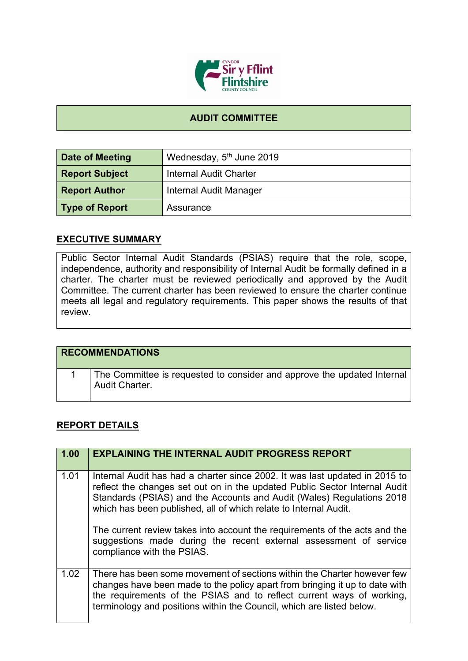

## **AUDIT COMMITTEE**

| Date of Meeting       | Wednesday, 5 <sup>th</sup> June 2019 |
|-----------------------|--------------------------------------|
| <b>Report Subject</b> | <b>Internal Audit Charter</b>        |
| <b>Report Author</b>  | Internal Audit Manager               |
| Type of Report        | Assurance                            |

## **EXECUTIVE SUMMARY**

Public Sector Internal Audit Standards (PSIAS) require that the role, scope, independence, authority and responsibility of Internal Audit be formally defined in a charter. The charter must be reviewed periodically and approved by the Audit Committee. The current charter has been reviewed to ensure the charter continue meets all legal and regulatory requirements. This paper shows the results of that review.

| <b>RECOMMENDATIONS</b>                                                                    |
|-------------------------------------------------------------------------------------------|
| The Committee is requested to consider and approve the updated Internal<br>Audit Charter. |

## **REPORT DETAILS**

| 1.00 | <b>EXPLAINING THE INTERNAL AUDIT PROGRESS REPORT</b>                                                                                                                                                                                                                                                                                                                                                                                                                                    |
|------|-----------------------------------------------------------------------------------------------------------------------------------------------------------------------------------------------------------------------------------------------------------------------------------------------------------------------------------------------------------------------------------------------------------------------------------------------------------------------------------------|
| 1.01 | Internal Audit has had a charter since 2002. It was last updated in 2015 to<br>reflect the changes set out on in the updated Public Sector Internal Audit<br>Standards (PSIAS) and the Accounts and Audit (Wales) Regulations 2018<br>which has been published, all of which relate to Internal Audit.<br>The current review takes into account the requirements of the acts and the<br>suggestions made during the recent external assessment of service<br>compliance with the PSIAS. |
| 1.02 | There has been some movement of sections within the Charter however few<br>changes have been made to the policy apart from bringing it up to date with<br>the requirements of the PSIAS and to reflect current ways of working,<br>terminology and positions within the Council, which are listed below.                                                                                                                                                                                |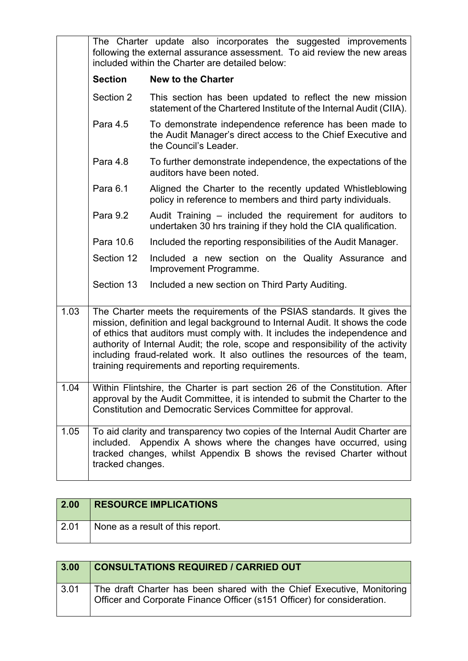|      | The Charter update also incorporates the suggested improvements<br>following the external assurance assessment. To aid review the new areas<br>included within the Charter are detailed below:                                                                                                                                                                                                                                                              |                                                                                                                                                                                                                           |
|------|-------------------------------------------------------------------------------------------------------------------------------------------------------------------------------------------------------------------------------------------------------------------------------------------------------------------------------------------------------------------------------------------------------------------------------------------------------------|---------------------------------------------------------------------------------------------------------------------------------------------------------------------------------------------------------------------------|
|      | <b>Section</b>                                                                                                                                                                                                                                                                                                                                                                                                                                              | <b>New to the Charter</b>                                                                                                                                                                                                 |
|      | Section 2                                                                                                                                                                                                                                                                                                                                                                                                                                                   | This section has been updated to reflect the new mission<br>statement of the Chartered Institute of the Internal Audit (CIIA).                                                                                            |
|      | Para 4.5                                                                                                                                                                                                                                                                                                                                                                                                                                                    | To demonstrate independence reference has been made to<br>the Audit Manager's direct access to the Chief Executive and<br>the Council's Leader.                                                                           |
|      | Para 4.8                                                                                                                                                                                                                                                                                                                                                                                                                                                    | To further demonstrate independence, the expectations of the<br>auditors have been noted.                                                                                                                                 |
|      | Para 6.1                                                                                                                                                                                                                                                                                                                                                                                                                                                    | Aligned the Charter to the recently updated Whistleblowing<br>policy in reference to members and third party individuals.                                                                                                 |
|      | Para 9.2                                                                                                                                                                                                                                                                                                                                                                                                                                                    | Audit Training – included the requirement for auditors to<br>undertaken 30 hrs training if they hold the CIA qualification.                                                                                               |
|      | Para 10.6                                                                                                                                                                                                                                                                                                                                                                                                                                                   | Included the reporting responsibilities of the Audit Manager.                                                                                                                                                             |
|      | Section 12                                                                                                                                                                                                                                                                                                                                                                                                                                                  | Included a new section on the Quality Assurance and<br>Improvement Programme.                                                                                                                                             |
|      | Section 13                                                                                                                                                                                                                                                                                                                                                                                                                                                  | Included a new section on Third Party Auditing.                                                                                                                                                                           |
| 1.03 | The Charter meets the requirements of the PSIAS standards. It gives the<br>mission, definition and legal background to Internal Audit. It shows the code<br>of ethics that auditors must comply with. It includes the independence and<br>authority of Internal Audit; the role, scope and responsibility of the activity<br>including fraud-related work. It also outlines the resources of the team,<br>training requirements and reporting requirements. |                                                                                                                                                                                                                           |
| 1.04 | Within Flintshire, the Charter is part section 26 of the Constitution. After<br>approval by the Audit Committee, it is intended to submit the Charter to the<br>Constitution and Democratic Services Committee for approval.                                                                                                                                                                                                                                |                                                                                                                                                                                                                           |
| 1.05 | tracked changes.                                                                                                                                                                                                                                                                                                                                                                                                                                            | To aid clarity and transparency two copies of the Internal Audit Charter are<br>included. Appendix A shows where the changes have occurred, using<br>tracked changes, whilst Appendix B shows the revised Charter without |

| 2.00 | <b>RESOURCE IMPLICATIONS</b>     |
|------|----------------------------------|
| 2.01 | None as a result of this report. |

| 3.00 | <b>CONSULTATIONS REQUIRED / CARRIED OUT</b>                                                                                                       |
|------|---------------------------------------------------------------------------------------------------------------------------------------------------|
| 3.01 | The draft Charter has been shared with the Chief Executive, Monitoring<br>Officer and Corporate Finance Officer (s151 Officer) for consideration. |